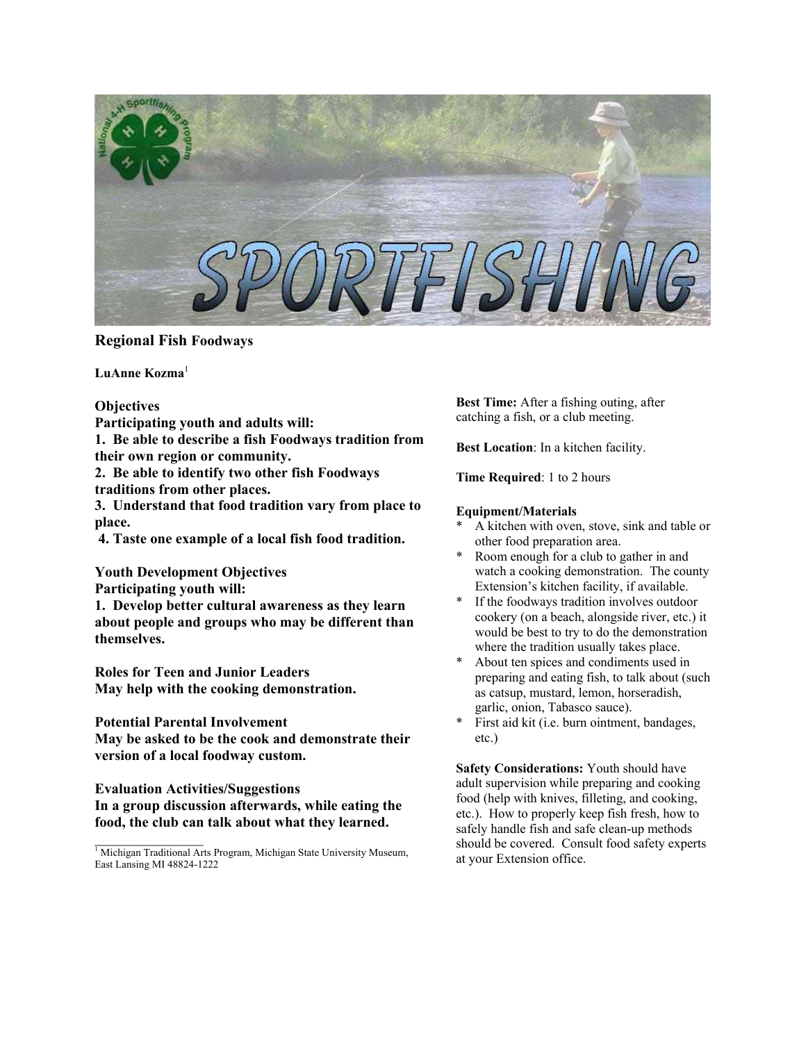

# **Regional Fish Foodways**

LuAnne Kozma<sup>1</sup>

**Participating youth and adults will:** 

**1. Be able to describe a fish Foodways tradition from their own region or community. Best Location**: In a kitchen facility.

**2. Be able to identify two other fish Foodways 2. Be able to identify two other fish Foodways Time Required**: 1 to 2 hours **traditions from other places.** 

**3. Understand that food tradition vary from place to**<br> **place.** <br> **a** kitchen with over

**4. Taste one example of a local fish food tradition.** The other food preparation area.

**Youth Development Objectives** 

**1. Develop better cultural awareness as they learn about people and groups who may be different than themselves.** 

**Roles for Teen and Junior Leaders May help with the cooking demonstration.** 

**May be asked to be the cook and demonstrate their** etc.) **version of a local foodway custom.** Safety Considerations: Youth should have

**Evaluation Activities/Suggestions In a group discussion afterwards, while eating the food, the club can talk about what they learned.**

**Best Time:** After a fishing outing, after **Objectives Character Best Time:** After a fishing outing,<br>**Participating youth and adults will. Character a fish, or a club meeting.** 

- A kitchen with oven, stove, sink and table or
- \* Room enough for a club to gather in and watch a cooking demonstration. The county Extension's kitchen facility, if available.
- **Participating youth will:** Extension's kitchen facility, if available.<br> **1** Develop better cultural awareness as they learn <br> **1** Sevelop better cultural awareness as they learn **the foodways tradition involves outdoor** cookery (on a beach, alongside river, etc.) it would be best to try to do the demonstration where the tradition usually takes place.
	- About ten spices and condiments used in preparing and eating fish, to talk about (such as catsup, mustard, lemon, horseradish, garlic, onion, Tabasco sauce).
- **Potential Parental Involvement** \* **First aid kit (i.e. burn ointment, bandages,**

adult supervision while preparing and cooking food (help with knives, filleting, and cooking, etc.). How to properly keep fish fresh, how to safely handle fish and safe clean-up methods should be covered. Consult food safety experts at your Extension office.

<sup>&</sup>lt;sup>1</sup> Michigan Traditional Arts Program, Michigan State University Museum, East Lansing MI 48824-1222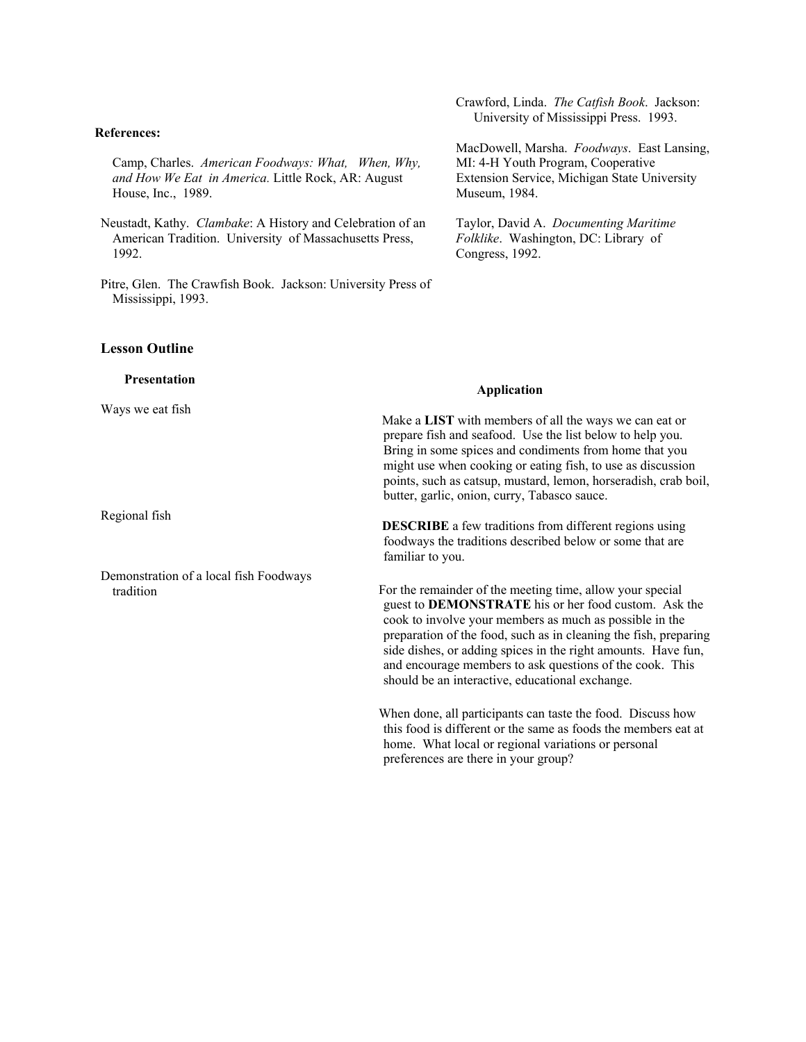#### **References:**

Camp, Charles. *American Foodways: What, When, Why, and How We Eat in America.* Little Rock, AR: August House, Inc., 1989.

Neustadt, Kathy. *Clambake*: A History and Celebration of an American Tradition. University of Massachusetts Press, 1992.

Pitre, Glen. The Crawfish Book. Jackson: University Press of Mississippi, 1993.

### **Lesson Outline**

**Presentation**  Ways we eat fish Regional fish Demonstration of a local fish Foodways tradition  **Application**  Make a **LIST** with members of all the ways we can eat or prepare fish and seafood. Use the list below to help you. Bring in some spices and condiments from home that you might use when cooking or eating fish, to use as discussion points, such as catsup, mustard, lemon, horseradish, crab boil, butter, garlic, onion, curry, Tabasco sauce. **DESCRIBE** a few traditions from different regions using foodways the traditions described below or some that are familiar to you. For the remainder of the meeting time, allow your special guest to **DEMONSTRATE** his or her food custom. Ask the cook to involve your members as much as possible in the preparation of the food, such as in cleaning the fish, preparing side dishes, or adding spices in the right amounts. Have fun, and encourage members to ask questions of the cook. This should be an interactive, educational exchange. When done, all participants can taste the food. Discuss how this food is different or the same as foods the members eat at home. What local or regional variations or personal

preferences are there in your group?

Crawford, Linda. *The Catfish Book*. Jackson: University of Mississippi Press. 1993.

MacDowell, Marsha. *Foodways*. East Lansing,

MI: 4-H Youth Program, Cooperative Extension Service, Michigan State University

Taylor, David A. *Documenting Maritime Folklike*. Washington, DC: Library of

Museum, 1984.

Congress, 1992.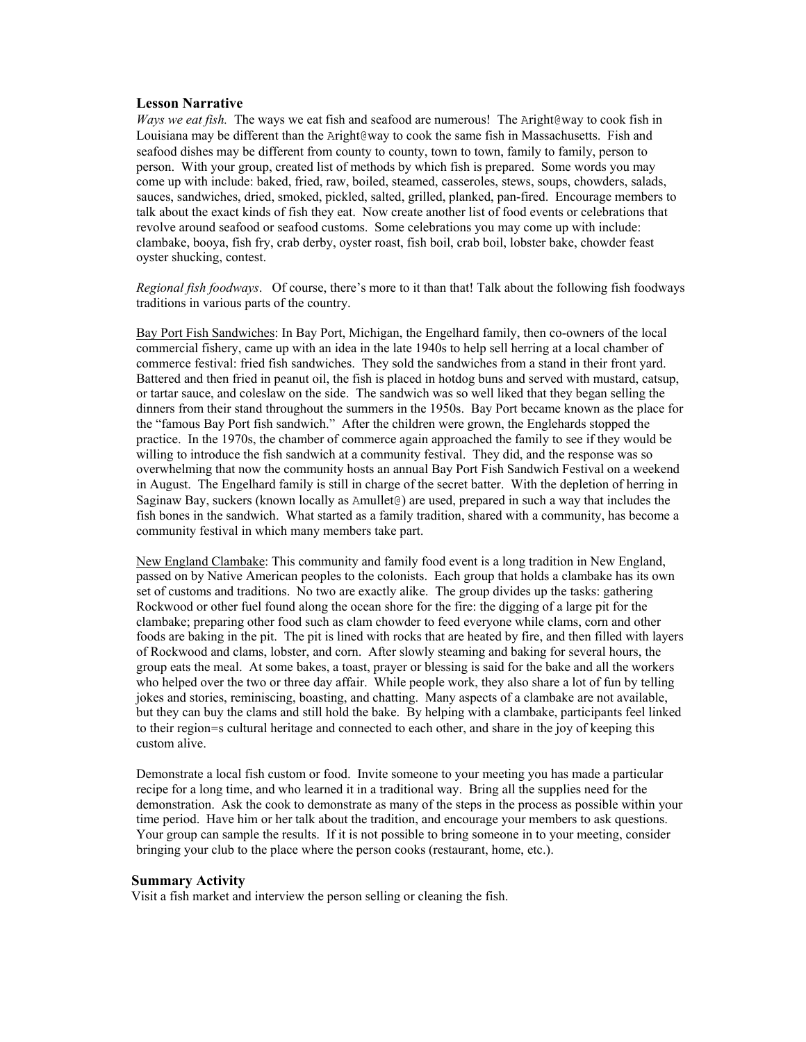#### **Lesson Narrative**

*Ways we eat fish.* The ways we eat fish and seafood are numerous! The Aright@way to cook fish in Louisiana may be different than the Aright@way to cook the same fish in Massachusetts. Fish and seafood dishes may be different from county to county, town to town, family to family, person to person. With your group, created list of methods by which fish is prepared. Some words you may come up with include: baked, fried, raw, boiled, steamed, casseroles, stews, soups, chowders, salads, sauces, sandwiches, dried, smoked, pickled, salted, grilled, planked, pan-fired. Encourage members to talk about the exact kinds of fish they eat. Now create another list of food events or celebrations that revolve around seafood or seafood customs. Some celebrations you may come up with include: clambake, booya, fish fry, crab derby, oyster roast, fish boil, crab boil, lobster bake, chowder feast oyster shucking, contest.

*Regional fish foodways*. Of course, there's more to it than that! Talk about the following fish foodways traditions in various parts of the country.

Bay Port Fish Sandwiches: In Bay Port, Michigan, the Engelhard family, then co-owners of the local commercial fishery, came up with an idea in the late 1940s to help sell herring at a local chamber of commerce festival: fried fish sandwiches. They sold the sandwiches from a stand in their front yard. Battered and then fried in peanut oil, the fish is placed in hotdog buns and served with mustard, catsup, or tartar sauce, and coleslaw on the side. The sandwich was so well liked that they began selling the dinners from their stand throughout the summers in the 1950s. Bay Port became known as the place for the "famous Bay Port fish sandwich." After the children were grown, the Englehards stopped the practice. In the 1970s, the chamber of commerce again approached the family to see if they would be willing to introduce the fish sandwich at a community festival. They did, and the response was so overwhelming that now the community hosts an annual Bay Port Fish Sandwich Festival on a weekend in August. The Engelhard family is still in charge of the secret batter. With the depletion of herring in Saginaw Bay, suckers (known locally as Amullet@) are used, prepared in such a way that includes the fish bones in the sandwich. What started as a family tradition, shared with a community, has become a community festival in which many members take part.

New England Clambake: This community and family food event is a long tradition in New England, passed on by Native American peoples to the colonists. Each group that holds a clambake has its own set of customs and traditions. No two are exactly alike. The group divides up the tasks: gathering Rockwood or other fuel found along the ocean shore for the fire: the digging of a large pit for the clambake; preparing other food such as clam chowder to feed everyone while clams, corn and other foods are baking in the pit. The pit is lined with rocks that are heated by fire, and then filled with layers of Rockwood and clams, lobster, and corn. After slowly steaming and baking for several hours, the group eats the meal. At some bakes, a toast, prayer or blessing is said for the bake and all the workers who helped over the two or three day affair. While people work, they also share a lot of fun by telling jokes and stories, reminiscing, boasting, and chatting. Many aspects of a clambake are not available, but they can buy the clams and still hold the bake. By helping with a clambake, participants feel linked to their region=s cultural heritage and connected to each other, and share in the joy of keeping this custom alive.

Demonstrate a local fish custom or food. Invite someone to your meeting you has made a particular recipe for a long time, and who learned it in a traditional way. Bring all the supplies need for the demonstration. Ask the cook to demonstrate as many of the steps in the process as possible within your time period. Have him or her talk about the tradition, and encourage your members to ask questions. Your group can sample the results. If it is not possible to bring someone in to your meeting, consider bringing your club to the place where the person cooks (restaurant, home, etc.).

#### **Summary Activity**

Visit a fish market and interview the person selling or cleaning the fish.